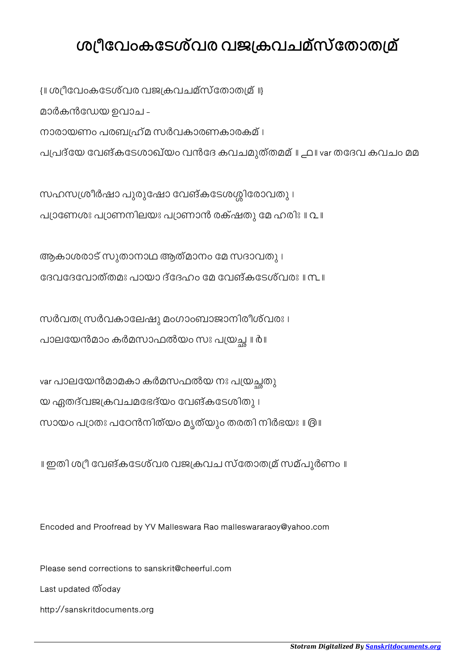## ശ്യീവേംകടേശ്വര വജക്രവചമ്സ്തോതമ്ര്

 $\{ \parallel$  ശ്രീവേംകടേശ്വര വജക്രവചമ്സ്തോതമ്ര്  $\parallel \}$ മാർകൻേഡയ ഉവാച - നാരായണം പരബ്യഹ്മ സർവകാരണകാരകമ് । പപദ്േയ േവങ്കേടശാഖ്യം വൻേദ കവചമുത്തമമ് ॥ ൧॥ var തേദവ കവചം മമ

സഹസശ്രീർഷാ പുരുഷോ വേങ്കടേശശ്ശിരോവതു । പ്യാണേശഃ പ്യാണനിലയഃ പ്യാണാൻ രക്ഷതു മേ ഹരിഃ ॥ വ॥

ആകാശരാട് സുതാനാഥ ആത്മാനം േമ സദാവതു । േദവേദേവാത്തമഃ പായാ ദ്േദഹം േമ േവങ്കേടശ്വരഃ ॥ ൩॥

സർവത്യ സർവകാലേഷു മംഗാംബാജാനിരീശ്വരഃ । പാലയേൻമാം കർമസാഫൽയം സഃ പയ്രച്ഛ ॥ ർ ॥

var പാലയേൻമാമകാ കർമസഫൽയ നഃ പയ്രച്ഛതു യ ഏതദ്വജകവചമേഭദ്യം േവങ്കേടശിതു । സായം പാതഃ പേഠൻനിത്യം മൃത്യും തരതി നിർഭയഃ ॥ ൫॥

॥ ഇതി ശീ േവങ്കേടശ്വര വജകവച സ്േതാതമ് സമ്പൂർണം ॥

Encoded and Proofread by YV Malleswara Rao malleswararaoy@yahoo.com

Please send corrections to sanskrit@cheerful.com Last updated ത്oday

http://sanskritdocuments.org